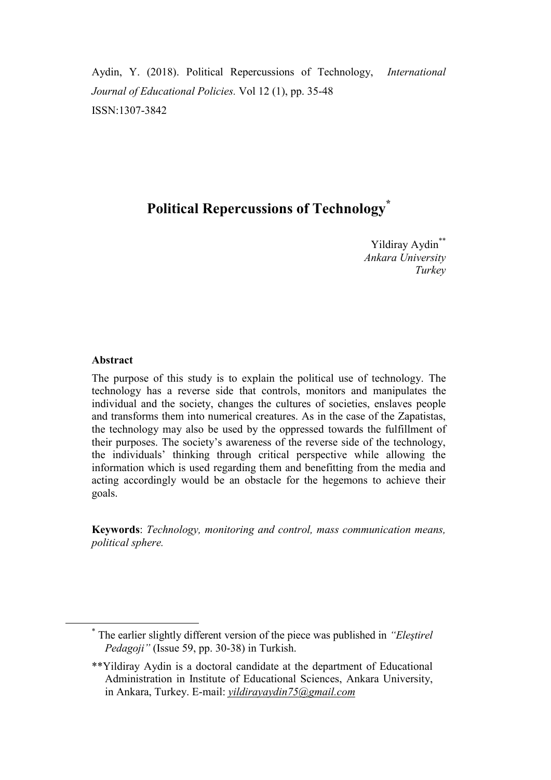Aydin, Y. (2018). Political Repercussions of Technology, *International Journal of Educational Policies.* Vol 12 (1), pp. 35-48 ISSN:1307-3842

# **Political Repercussions of Technology\***

Yildiray Aydin<sup>\*\*</sup> *Ankara University Turkey*

### **Abstract**

1

The purpose of this study is to explain the political use of technology. The technology has a reverse side that controls, monitors and manipulates the individual and the society, changes the cultures of societies, enslaves people and transforms them into numerical creatures. As in the case of the Zapatistas, the technology may also be used by the oppressed towards the fulfillment of their purposes. The society's awareness of the reverse side of the technology, the individuals' thinking through critical perspective while allowing the information which is used regarding them and benefitting from the media and acting accordingly would be an obstacle for the hegemons to achieve their goals.

**Keywords**: *Technology, monitoring and control, mass communication means, political sphere.*

<sup>\*</sup> The earlier slightly different version of the piece was published in *"Eleştirel Pedagoji"* (Issue 59, pp. 30-38) in Turkish.

<sup>\*\*</sup>Yildiray Aydin is a doctoral candidate at the department of Educational Administration in Institute of Educational Sciences, Ankara University, in Ankara, Turkey. E-mail: *yildirayaydin75@gmail.com*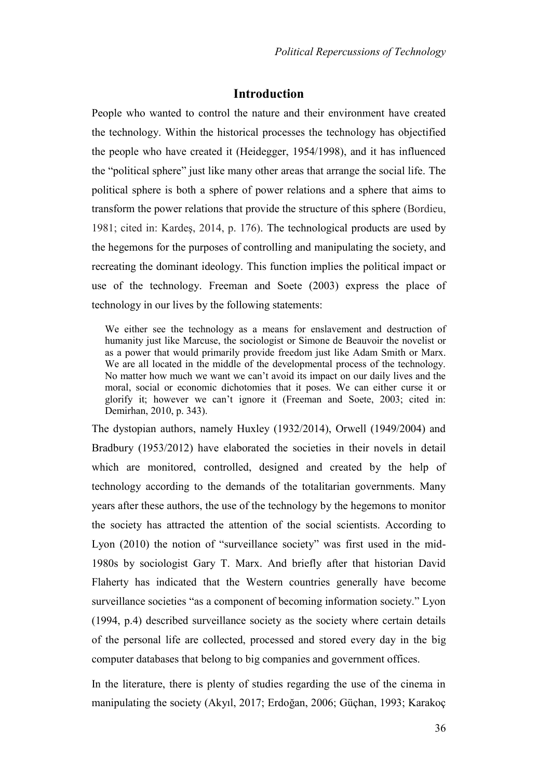## **Introduction**

People who wanted to control the nature and their environment have created the technology. Within the historical processes the technology has objectified the people who have created it (Heidegger, 1954/1998), and it has influenced the "political sphere" just like many other areas that arrange the social life. The political sphere is both a sphere of power relations and a sphere that aims to transform the power relations that provide the structure of this sphere (Bordieu, 1981; cited in: Kardeş, 2014, p. 176). The technological products are used by the hegemons for the purposes of controlling and manipulating the society, and recreating the dominant ideology. This function implies the political impact or use of the technology. Freeman and Soete (2003) express the place of technology in our lives by the following statements:

We either see the technology as a means for enslavement and destruction of humanity just like Marcuse, the sociologist or Simone de Beauvoir the novelist or as a power that would primarily provide freedom just like Adam Smith or Marx. We are all located in the middle of the developmental process of the technology. No matter how much we want we can't avoid its impact on our daily lives and the moral, social or economic dichotomies that it poses. We can either curse it or glorify it; however we can't ignore it (Freeman and Soete, 2003; cited in: Demirhan, 2010, p. 343).

The dystopian authors, namely Huxley (1932/2014), Orwell (1949/2004) and Bradbury (1953/2012) have elaborated the societies in their novels in detail which are monitored, controlled, designed and created by the help of technology according to the demands of the totalitarian governments. Many years after these authors, the use of the technology by the hegemons to monitor the society has attracted the attention of the social scientists. According to Lyon (2010) the notion of "surveillance society" was first used in the mid-1980s by sociologist Gary T. Marx. And briefly after that historian David Flaherty has indicated that the Western countries generally have become surveillance societies "as a component of becoming information society." Lyon (1994, p.4) described surveillance society as the society where certain details of the personal life are collected, processed and stored every day in the big computer databases that belong to big companies and government offices.

In the literature, there is plenty of studies regarding the use of the cinema in manipulating the society (Akyıl, 2017; Erdoğan, 2006; Güçhan, 1993; Karakoç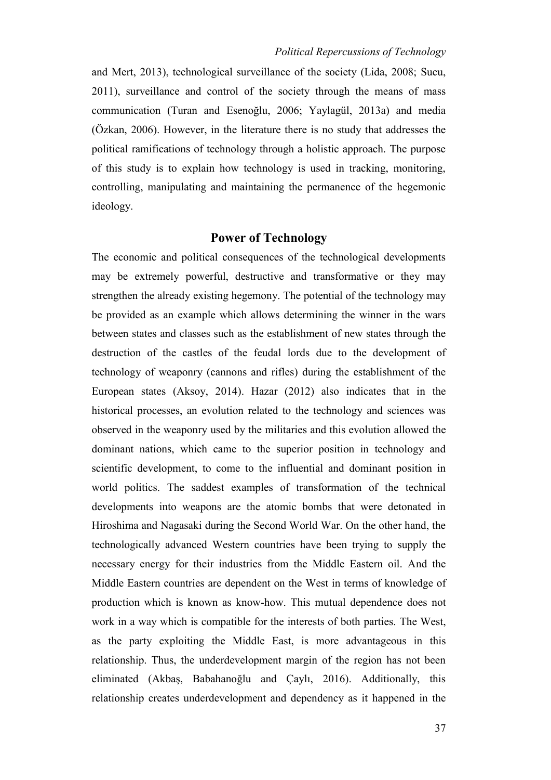and Mert, 2013), technological surveillance of the society (Lida, 2008; Sucu, 2011), surveillance and control of the society through the means of mass communication (Turan and Esenoğlu, 2006; Yaylagül, 2013a) and media (Özkan, 2006). However, in the literature there is no study that addresses the political ramifications of technology through a holistic approach. The purpose of this study is to explain how technology is used in tracking, monitoring, controlling, manipulating and maintaining the permanence of the hegemonic ideology.

## **Power of Technology**

The economic and political consequences of the technological developments may be extremely powerful, destructive and transformative or they may strengthen the already existing hegemony. The potential of the technology may be provided as an example which allows determining the winner in the wars between states and classes such as the establishment of new states through the destruction of the castles of the feudal lords due to the development of technology of weaponry (cannons and rifles) during the establishment of the European states (Aksoy, 2014). Hazar (2012) also indicates that in the historical processes, an evolution related to the technology and sciences was observed in the weaponry used by the militaries and this evolution allowed the dominant nations, which came to the superior position in technology and scientific development, to come to the influential and dominant position in world politics. The saddest examples of transformation of the technical developments into weapons are the atomic bombs that were detonated in Hiroshima and Nagasaki during the Second World War. On the other hand, the technologically advanced Western countries have been trying to supply the necessary energy for their industries from the Middle Eastern oil. And the Middle Eastern countries are dependent on the West in terms of knowledge of production which is known as know-how. This mutual dependence does not work in a way which is compatible for the interests of both parties. The West, as the party exploiting the Middle East, is more advantageous in this relationship. Thus, the underdevelopment margin of the region has not been eliminated (Akbaş, Babahanoğlu and Çaylı, 2016). Additionally, this relationship creates underdevelopment and dependency as it happened in the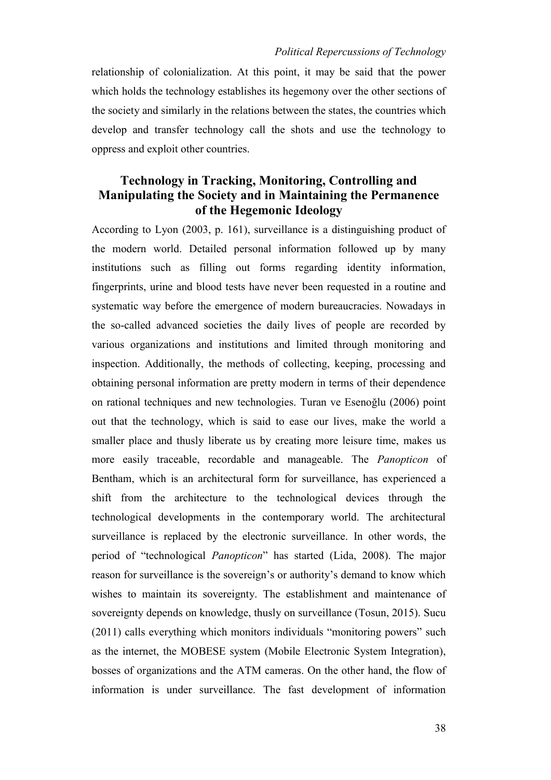relationship of colonialization. At this point, it may be said that the power which holds the technology establishes its hegemony over the other sections of the society and similarly in the relations between the states, the countries which develop and transfer technology call the shots and use the technology to oppress and exploit other countries.

# **Technology in Tracking, Monitoring, Controlling and Manipulating the Society and in Maintaining the Permanence of the Hegemonic Ideology**

According to Lyon (2003, p. 161), surveillance is a distinguishing product of the modern world. Detailed personal information followed up by many institutions such as filling out forms regarding identity information, fingerprints, urine and blood tests have never been requested in a routine and systematic way before the emergence of modern bureaucracies. Nowadays in the so-called advanced societies the daily lives of people are recorded by various organizations and institutions and limited through monitoring and inspection. Additionally, the methods of collecting, keeping, processing and obtaining personal information are pretty modern in terms of their dependence on rational techniques and new technologies. Turan ve Esenoğlu (2006) point out that the technology, which is said to ease our lives, make the world a smaller place and thusly liberate us by creating more leisure time, makes us more easily traceable, recordable and manageable. The *Panopticon* of Bentham, which is an architectural form for surveillance, has experienced a shift from the architecture to the technological devices through the technological developments in the contemporary world. The architectural surveillance is replaced by the electronic surveillance. In other words, the period of "technological *Panopticon*" has started (Lida, 2008). The major reason for surveillance is the sovereign's or authority's demand to know which wishes to maintain its sovereignty. The establishment and maintenance of sovereignty depends on knowledge, thusly on surveillance (Tosun, 2015). Sucu (2011) calls everything which monitors individuals "monitoring powers" such as the internet, the MOBESE system (Mobile Electronic System Integration), bosses of organizations and the ATM cameras. On the other hand, the flow of information is under surveillance. The fast development of information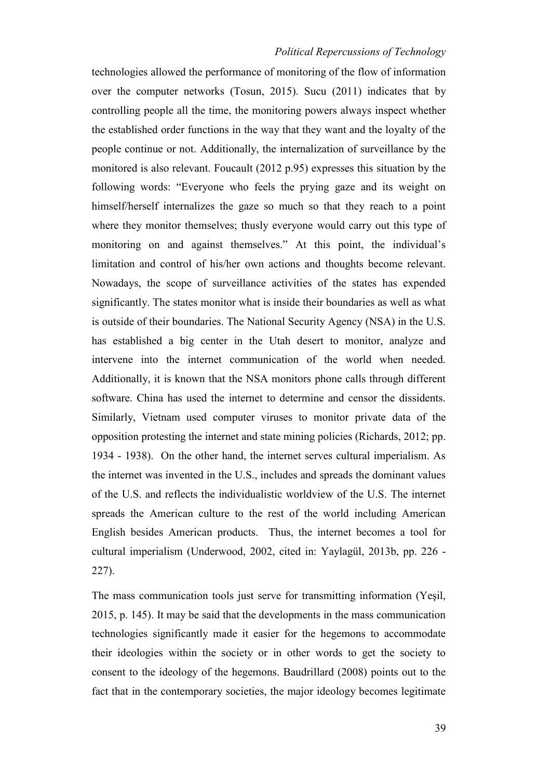technologies allowed the performance of monitoring of the flow of information over the computer networks (Tosun, 2015). Sucu (2011) indicates that by controlling people all the time, the monitoring powers always inspect whether the established order functions in the way that they want and the loyalty of the people continue or not. Additionally, the internalization of surveillance by the monitored is also relevant. Foucault (2012 p.95) expresses this situation by the following words: "Everyone who feels the prying gaze and its weight on himself/herself internalizes the gaze so much so that they reach to a point where they monitor themselves; thusly everyone would carry out this type of monitoring on and against themselves." At this point, the individual's limitation and control of his/her own actions and thoughts become relevant. Nowadays, the scope of surveillance activities of the states has expended significantly. The states monitor what is inside their boundaries as well as what is outside of their boundaries. The National Security Agency (NSA) in the U.S. has established a big center in the Utah desert to monitor, analyze and intervene into the internet communication of the world when needed. Additionally, it is known that the NSA monitors phone calls through different software. China has used the internet to determine and censor the dissidents. Similarly, Vietnam used computer viruses to monitor private data of the opposition protesting the internet and state mining policies (Richards, 2012; pp. 1934 - 1938). On the other hand, the internet serves cultural imperialism. As the internet was invented in the U.S., includes and spreads the dominant values of the U.S. and reflects the individualistic worldview of the U.S. The internet spreads the American culture to the rest of the world including American English besides American products. Thus, the internet becomes a tool for cultural imperialism (Underwood, 2002, cited in: Yaylagül, 2013b, pp. 226 - 227).

The mass communication tools just serve for transmitting information (Yeşil, 2015, p. 145). It may be said that the developments in the mass communication technologies significantly made it easier for the hegemons to accommodate their ideologies within the society or in other words to get the society to consent to the ideology of the hegemons. Baudrillard (2008) points out to the fact that in the contemporary societies, the major ideology becomes legitimate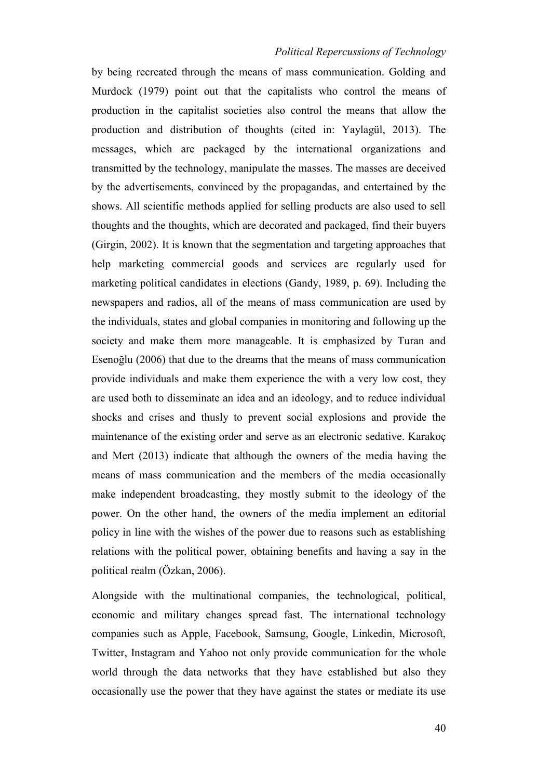by being recreated through the means of mass communication. Golding and Murdock (1979) point out that the capitalists who control the means of production in the capitalist societies also control the means that allow the production and distribution of thoughts (cited in: Yaylagül, 2013). The messages, which are packaged by the international organizations and transmitted by the technology, manipulate the masses. The masses are deceived by the advertisements, convinced by the propagandas, and entertained by the shows. All scientific methods applied for selling products are also used to sell thoughts and the thoughts, which are decorated and packaged, find their buyers (Girgin, 2002). It is known that the segmentation and targeting approaches that help marketing commercial goods and services are regularly used for marketing political candidates in elections (Gandy, 1989, p. 69). Including the newspapers and radios, all of the means of mass communication are used by the individuals, states and global companies in monitoring and following up the society and make them more manageable. It is emphasized by Turan and Esenoğlu (2006) that due to the dreams that the means of mass communication provide individuals and make them experience the with a very low cost, they are used both to disseminate an idea and an ideology, and to reduce individual shocks and crises and thusly to prevent social explosions and provide the maintenance of the existing order and serve as an electronic sedative. Karakoç and Mert (2013) indicate that although the owners of the media having the means of mass communication and the members of the media occasionally make independent broadcasting, they mostly submit to the ideology of the power. On the other hand, the owners of the media implement an editorial policy in line with the wishes of the power due to reasons such as establishing relations with the political power, obtaining benefits and having a say in the political realm (Özkan, 2006).

Alongside with the multinational companies, the technological, political, economic and military changes spread fast. The international technology companies such as Apple, Facebook, Samsung, Google, Linkedin, Microsoft, Twitter, Instagram and Yahoo not only provide communication for the whole world through the data networks that they have established but also they occasionally use the power that they have against the states or mediate its use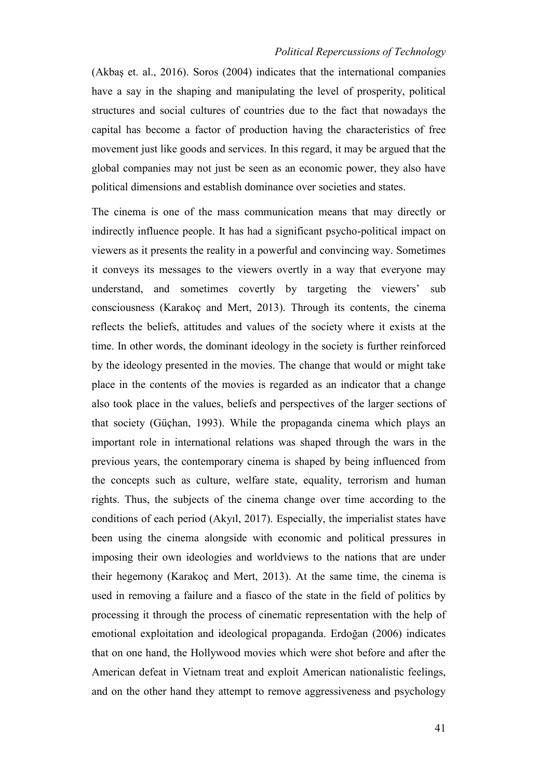(Akbaş et. al., 2016). Soros (2004) indicates that the international companies have a say in the shaping and manipulating the level of prosperity, political structures and social cultures of countries due to the fact that nowadays the capital has become a factor of production having the characteristics of free movement just like goods and services. In this regard, it may be argued that the global companies may not just be seen as an economic power, they also have political dimensions and establish dominance over societies and states.

The cinema is one of the mass communication means that may directly or indirectly influence people. It has had a significant psycho-political impact on viewers as it presents the reality in a powerful and convincing way. Sometimes it conveys its messages to the viewers overtly in a way that everyone may understand, and sometimes covertly by targeting the viewers' sub consciousness (Karakoç and Mert, 2013). Through its contents, the cinema reflects the beliefs, attitudes and values of the society where it exists at the time. In other words, the dominant ideology in the society is further reinforced by the ideology presented in the movies. The change that would or might take place in the contents of the movies is regarded as an indicator that a change also took place in the values, beliefs and perspectives of the larger sections of that society (Güçhan, 1993). While the propaganda cinema which plays an important role in international relations was shaped through the wars in the previous years, the contemporary cinema is shaped by being influenced from the concepts such as culture, welfare state, equality, terrorism and human rights. Thus, the subjects of the cinema change over time according to the conditions of each period (Akyıl, 2017). Especially, the imperialist states have been using the cinema alongside with economic and political pressures in imposing their own ideologies and worldviews to the nations that are under their hegemony (Karakoç and Mert, 2013). At the same time, the cinema is used in removing a failure and a fiasco of the state in the field of politics by processing it through the process of cinematic representation with the help of emotional exploitation and ideological propaganda. Erdoğan (2006) indicates that on one hand, the Hollywood movies which were shot before and after the American defeat in Vietnam treat and exploit American nationalistic feelings, and on the other hand they attempt to remove aggressiveness and psychology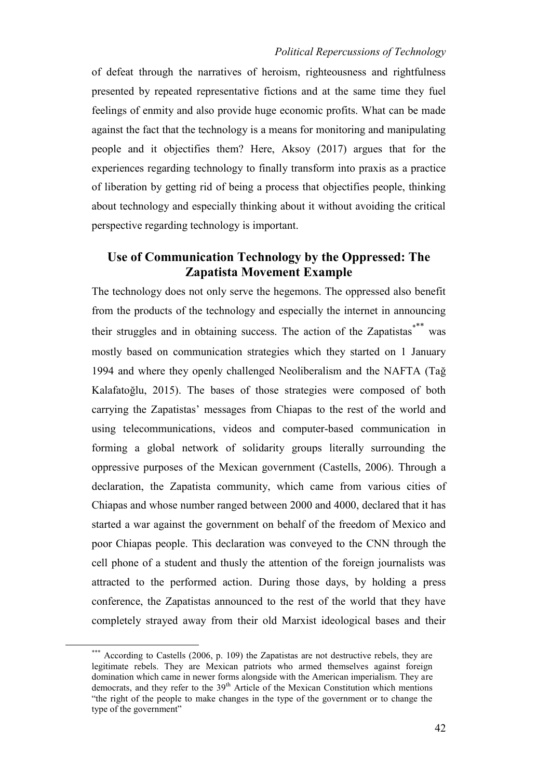of defeat through the narratives of heroism, righteousness and rightfulness presented by repeated representative fictions and at the same time they fuel feelings of enmity and also provide huge economic profits. What can be made against the fact that the technology is a means for monitoring and manipulating people and it objectifies them? Here, Aksoy (2017) argues that for the experiences regarding technology to finally transform into praxis as a practice of liberation by getting rid of being a process that objectifies people, thinking about technology and especially thinking about it without avoiding the critical perspective regarding technology is important.

# **Use of Communication Technology by the Oppressed: The Zapatista Movement Example**

The technology does not only serve the hegemons. The oppressed also benefit from the products of the technology and especially the internet in announcing their struggles and in obtaining success. The action of the Zapatistas<sup>\*\*\*</sup> was mostly based on communication strategies which they started on 1 January 1994 and where they openly challenged Neoliberalism and the NAFTA (Tağ Kalafatoğlu, 2015). The bases of those strategies were composed of both carrying the Zapatistas' messages from Chiapas to the rest of the world and using telecommunications, videos and computer-based communication in forming a global network of solidarity groups literally surrounding the oppressive purposes of the Mexican government (Castells, 2006). Through a declaration, the Zapatista community, which came from various cities of Chiapas and whose number ranged between 2000 and 4000, declared that it has started a war against the government on behalf of the freedom of Mexico and poor Chiapas people. This declaration was conveyed to the CNN through the cell phone of a student and thusly the attention of the foreign journalists was attracted to the performed action. During those days, by holding a press conference, the Zapatistas announced to the rest of the world that they have completely strayed away from their old Marxist ideological bases and their

<u>.</u>

<sup>\*\*\*</sup> According to Castells (2006, p. 109) the Zapatistas are not destructive rebels, they are legitimate rebels. They are Mexican patriots who armed themselves against foreign domination which came in newer forms alongside with the American imperialism. They are democrats, and they refer to the 39<sup>th</sup> Article of the Mexican Constitution which mentions "the right of the people to make changes in the type of the government or to change the type of the government"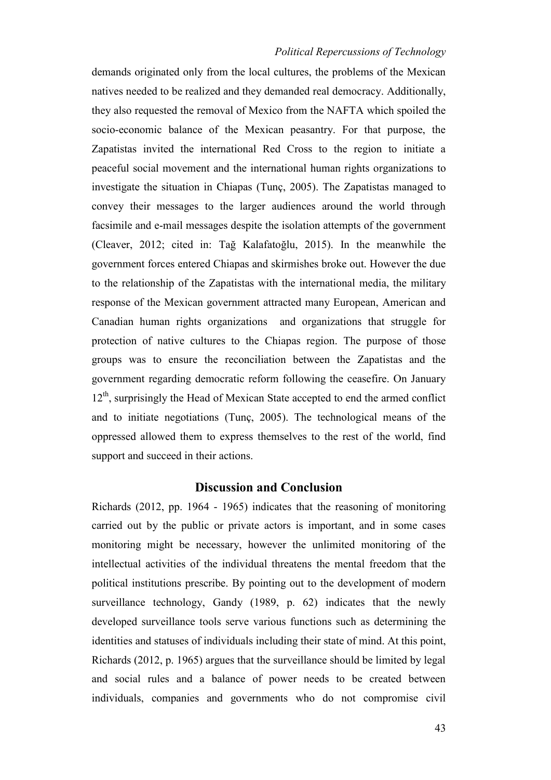demands originated only from the local cultures, the problems of the Mexican natives needed to be realized and they demanded real democracy. Additionally, they also requested the removal of Mexico from the NAFTA which spoiled the socio-economic balance of the Mexican peasantry. For that purpose, the Zapatistas invited the international Red Cross to the region to initiate a peaceful social movement and the international human rights organizations to investigate the situation in Chiapas (Tunç, 2005). The Zapatistas managed to convey their messages to the larger audiences around the world through facsimile and e-mail messages despite the isolation attempts of the government (Cleaver, 2012; cited in: Tağ Kalafatoğlu, 2015). In the meanwhile the government forces entered Chiapas and skirmishes broke out. However the due to the relationship of the Zapatistas with the international media, the military response of the Mexican government attracted many European, American and Canadian human rights organizations and organizations that struggle for protection of native cultures to the Chiapas region. The purpose of those groups was to ensure the reconciliation between the Zapatistas and the government regarding democratic reform following the ceasefire. On January  $12<sup>th</sup>$ , surprisingly the Head of Mexican State accepted to end the armed conflict and to initiate negotiations (Tunç, 2005). The technological means of the oppressed allowed them to express themselves to the rest of the world, find support and succeed in their actions.

### **Discussion and Conclusion**

Richards (2012, pp. 1964 - 1965) indicates that the reasoning of monitoring carried out by the public or private actors is important, and in some cases monitoring might be necessary, however the unlimited monitoring of the intellectual activities of the individual threatens the mental freedom that the political institutions prescribe. By pointing out to the development of modern surveillance technology, Gandy (1989, p. 62) indicates that the newly developed surveillance tools serve various functions such as determining the identities and statuses of individuals including their state of mind. At this point, Richards (2012, p. 1965) argues that the surveillance should be limited by legal and social rules and a balance of power needs to be created between individuals, companies and governments who do not compromise civil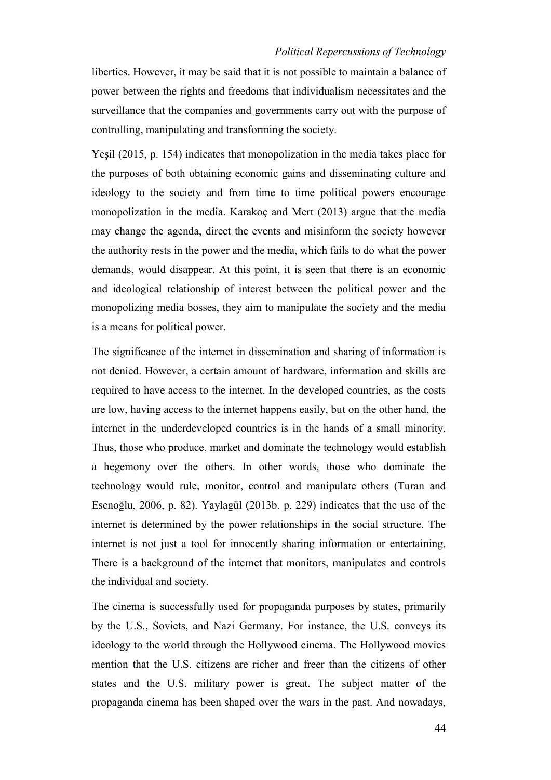liberties. However, it may be said that it is not possible to maintain a balance of power between the rights and freedoms that individualism necessitates and the surveillance that the companies and governments carry out with the purpose of controlling, manipulating and transforming the society.

Yeşil (2015, p. 154) indicates that monopolization in the media takes place for the purposes of both obtaining economic gains and disseminating culture and ideology to the society and from time to time political powers encourage monopolization in the media. Karakoç and Mert (2013) argue that the media may change the agenda, direct the events and misinform the society however the authority rests in the power and the media, which fails to do what the power demands, would disappear. At this point, it is seen that there is an economic and ideological relationship of interest between the political power and the monopolizing media bosses, they aim to manipulate the society and the media is a means for political power.

The significance of the internet in dissemination and sharing of information is not denied. However, a certain amount of hardware, information and skills are required to have access to the internet. In the developed countries, as the costs are low, having access to the internet happens easily, but on the other hand, the internet in the underdeveloped countries is in the hands of a small minority. Thus, those who produce, market and dominate the technology would establish a hegemony over the others. In other words, those who dominate the technology would rule, monitor, control and manipulate others (Turan and Esenoğlu, 2006, p. 82). Yaylagül (2013b. p. 229) indicates that the use of the internet is determined by the power relationships in the social structure. The internet is not just a tool for innocently sharing information or entertaining. There is a background of the internet that monitors, manipulates and controls the individual and society.

The cinema is successfully used for propaganda purposes by states, primarily by the U.S., Soviets, and Nazi Germany. For instance, the U.S. conveys its ideology to the world through the Hollywood cinema. The Hollywood movies mention that the U.S. citizens are richer and freer than the citizens of other states and the U.S. military power is great. The subject matter of the propaganda cinema has been shaped over the wars in the past. And nowadays,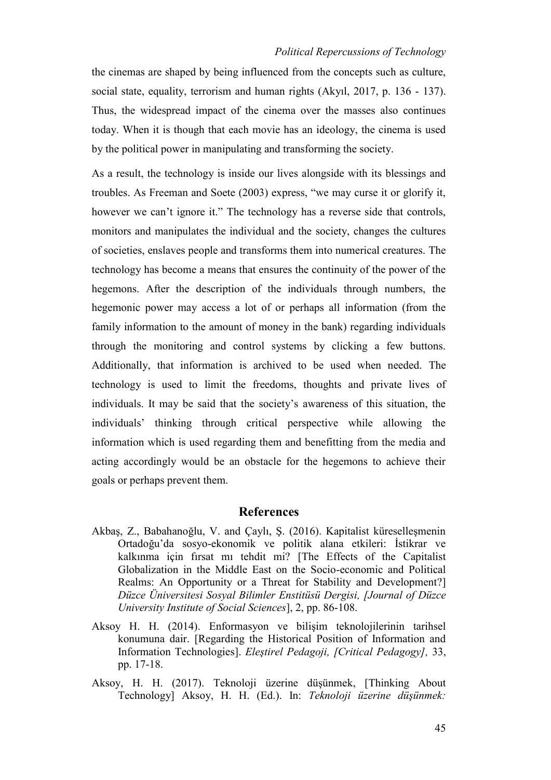the cinemas are shaped by being influenced from the concepts such as culture, social state, equality, terrorism and human rights (Akyıl, 2017, p. 136 - 137). Thus, the widespread impact of the cinema over the masses also continues today. When it is though that each movie has an ideology, the cinema is used by the political power in manipulating and transforming the society.

As a result, the technology is inside our lives alongside with its blessings and troubles. As Freeman and Soete (2003) express, "we may curse it or glorify it, however we can't ignore it." The technology has a reverse side that controls, monitors and manipulates the individual and the society, changes the cultures of societies, enslaves people and transforms them into numerical creatures. The technology has become a means that ensures the continuity of the power of the hegemons. After the description of the individuals through numbers, the hegemonic power may access a lot of or perhaps all information (from the family information to the amount of money in the bank) regarding individuals through the monitoring and control systems by clicking a few buttons. Additionally, that information is archived to be used when needed. The technology is used to limit the freedoms, thoughts and private lives of individuals. It may be said that the society's awareness of this situation, the individuals' thinking through critical perspective while allowing the information which is used regarding them and benefitting from the media and acting accordingly would be an obstacle for the hegemons to achieve their goals or perhaps prevent them.

### **References**

- Akbaş, Z., Babahanoğlu, V. and Çaylı, Ş. (2016). Kapitalist küreselleşmenin Ortadoğu'da sosyo-ekonomik ve politik alana etkileri: İstikrar ve kalkınma için fırsat mı tehdit mi? [The Effects of the Capitalist Globalization in the Middle East on the Socio-economic and Political Realms: An Opportunity or a Threat for Stability and Development?] *Düzce Üniversitesi Sosyal Bilimler Enstitüsü Dergisi, [Journal of Düzce University Institute of Social Sciences*], 2, pp. 86-108.
- Aksoy H. H. (2014). Enformasyon ve bilişim teknolojilerinin tarihsel konumuna dair. [Regarding the Historical Position of Information and Information Technologies]. *Eleştirel Pedagoji, [Critical Pedagogy],* 33, pp. 17-18.
- Aksoy, H. H. (2017). Teknoloji üzerine düşünmek, [Thinking About Technology] Aksoy, H. H. (Ed.). In: *Teknoloji üzerine düşünmek:*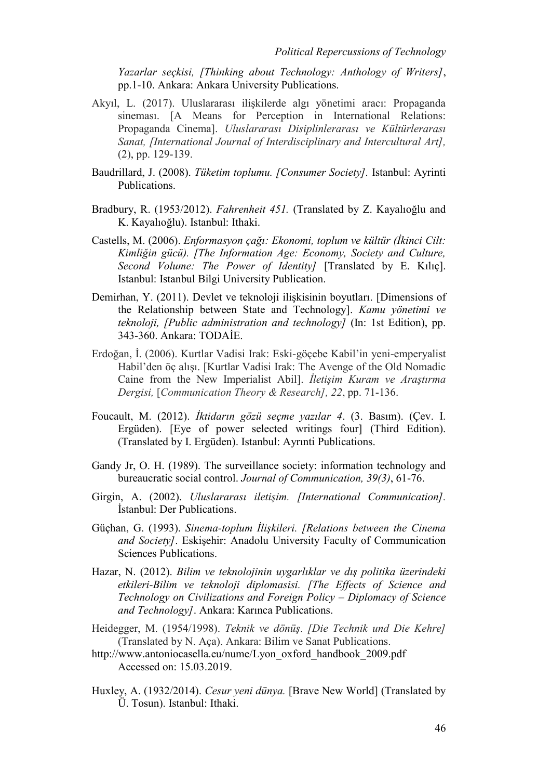*Yazarlar seçkisi, [Thinking about Technology: Anthology of Writers]*, pp.1-10. Ankara: Ankara University Publications.

- Akyıl, L. (2017). Uluslararası ilişkilerde algı yönetimi aracı: Propaganda sineması. [A Means for Perception in International Relations: Propaganda Cinema]. *Uluslararası Disiplinlerarası ve Kültürlerarası Sanat, [International Journal of Interdisciplinary and Intercultural Art],* (2), pp. 129-139.
- Baudrillard, J. (2008). *Tüketim toplumu. [Consumer Society].* Istanbul: Ayrinti Publications.
- Bradbury, R. (1953/2012). *Fahrenheit 451.* (Translated by Z. Kayalıoğlu and K. Kayalıoğlu). Istanbul: Ithaki.
- Castells, M. (2006). *Enformasyon çağı: Ekonomi, toplum ve kültür (İkinci Cilt: Kimliğin gücü). [The Information Age: Economy, Society and Culture, Second Volume: The Power of Identity]* [Translated by E. Kılıç]. Istanbul: Istanbul Bilgi University Publication.
- Demirhan, Y. (2011). Devlet ve teknoloji ilişkisinin boyutları. [Dimensions of the Relationship between State and Technology]. *Kamu yönetimi ve teknoloji, [Public administration and technology]* (In: 1st Edition), pp. 343-360. Ankara: TODAİE.
- Erdoğan, İ. (2006). Kurtlar Vadisi Irak: Eski-göçebe Kabil'in yeni-emperyalist Habil'den öç alışı. [Kurtlar Vadisi Irak: The Avenge of the Old Nomadic Caine from the New Imperialist Abil]. *İletişim Kuram ve Araştırma Dergisi,* [*Communication Theory & Research], 22*, pp. 71-136.
- Foucault, M. (2012). *İktidarın gözü seçme yazılar 4*. (3. Basım). (Çev. I. Ergüden). [Eye of power selected writings four] (Third Edition). (Translated by I. Ergüden). Istanbul: Ayrınti Publications.
- Gandy Jr, O. H. (1989). The surveillance society: information technology and bureaucratic social control. *Journal of Communication, 39(3)*, 61-76.
- Girgin, A. (2002). *Uluslararası iletişim. [International Communication].* İstanbul: Der Publications.
- Güçhan, G. (1993). *Sinema-toplum İlişkileri. [Relations between the Cinema and Society]*. Eskişehir: Anadolu University Faculty of Communication Sciences Publications.
- Hazar, N. (2012). *Bilim ve teknolojinin uygarlıklar ve dış politika üzerindeki etkileri-Bilim ve teknoloji diplomasisi. [The Effects of Science and Technology on Civilizations and Foreign Policy – Diplomacy of Science and Technology]*. Ankara: Karınca Publications.
- Heidegger, M. (1954/1998). *Teknik ve dönüş*. *[Die Technik und Die Kehre]* (Translated by N. Aça). Ankara: Bilim ve Sanat Publications.
- [http://www.antoniocasella.eu/nume/Lyon\\_oxford\\_handbook\\_2009.pdf](http://www.antoniocasella.eu/nume/Lyon_oxford_handbook_2009.pdf) Accessed on: 15.03.2019.
- Huxley, A. (1932/2014). *Cesur yeni dünya.* [Brave New World] (Translated by Ü. Tosun). Istanbul: Ithaki.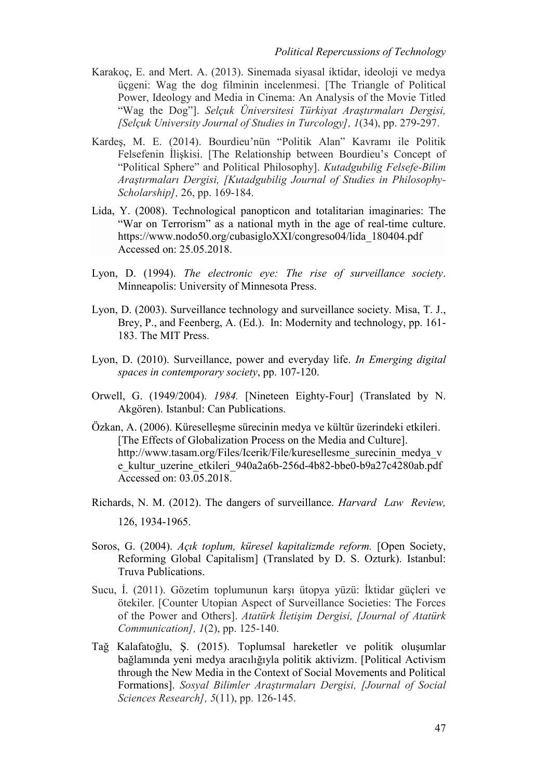- Karakoç, E. and Mert. A. (2013). Sinemada siyasal iktidar, ideoloji ve medya üçgeni: Wag the dog filminin incelenmesi. [The Triangle of Political Power, Ideology and Media in Cinema: An Analysis of the Movie Titled "Wag the Dog"]. *Selçuk Üniversitesi Türkiyat Araştırmaları Dergisi, [Selçuk University Journal of Studies in Turcology], 1*(34), pp. 279-297.
- Kardeş, M. E. (2014). Bourdieu'nün "Politik Alan" Kavramı ile Politik Felsefenin İlişkisi. [The Relationship between Bourdieu's Concept of "Political Sphere" and Political Philosophy]. *Kutadgubilig Felsefe-Bilim Araştırmaları Dergisi, [Kutadgubilig Journal of Studies in Philosophy-Scholarship],* 26, pp. 169-184.
- Lida, Y. (2008). Technological panopticon and totalitarian imaginaries: The "War on Terrorism" as a national myth in the age of real-time culture. https://www.nodo50.org/cubasigloXXI/congreso04/lida\_180404.pdf Accessed on: 25.05.2018.
- Lyon, D. (1994). *The electronic eye: The rise of surveillance society*. Minneapolis: University of Minnesota Press.
- Lyon, D. (2003). Surveillance technology and surveillance society. Misa, T. J., Brey, P., and Feenberg, A. (Ed.). In: Modernity and technology, pp. 161- 183. The MIT Press.
- Lyon, D. (2010). Surveillance, power and everyday life. *In Emerging digital spaces in contemporary society*, pp. 107-120.
- Orwell, G. (1949/2004). *1984.* [Nineteen Eighty-Four] (Translated by N. Akgören). Istanbul: Can Publications.
- Özkan, A. (2006). Küreselleşme sürecinin medya ve kültür üzerindeki etkileri. [The Effects of Globalization Process on the Media and Culture]. http://www.tasam.org/Files/Icerik/File/kuresellesme\_surecinin\_medya\_v e\_kultur\_uzerine\_etkileri\_940a2a6b-256d-4b82-bbe0-b9a27c4280ab.pdf Accessed on: 03.05.2018.
- Richards, N. M. (2012). The dangers of surveillance. *Harvard Law Review,* 126, 1934-1965.
- Soros, G. (2004). *Açık toplum, küresel kapitalizmde reform.* [Open Society, Reforming Global Capitalism] (Translated by D. S. Ozturk). Istanbul: Truva Publications.
- Sucu, İ. (2011). Gözetim toplumunun karşı ütopya yüzü: İktidar güçleri ve ötekiler. [Counter Utopian Aspect of Surveillance Societies: The Forces of the Power and Others]. *Atatürk İletişim Dergisi, [Journal of Atatürk Communication], 1*(2), pp. 125-140.
- Tağ Kalafatoğlu, Ş. (2015). Toplumsal hareketler ve politik oluşumlar bağlamında yeni medya aracılığıyla politik aktivizm. [Political Activism through the New Media in the Context of Social Movements and Political Formations]. *Sosyal Bilimler Araştırmaları Dergisi, [Journal of Social Sciences Research], 5*(11), pp. 126-145.